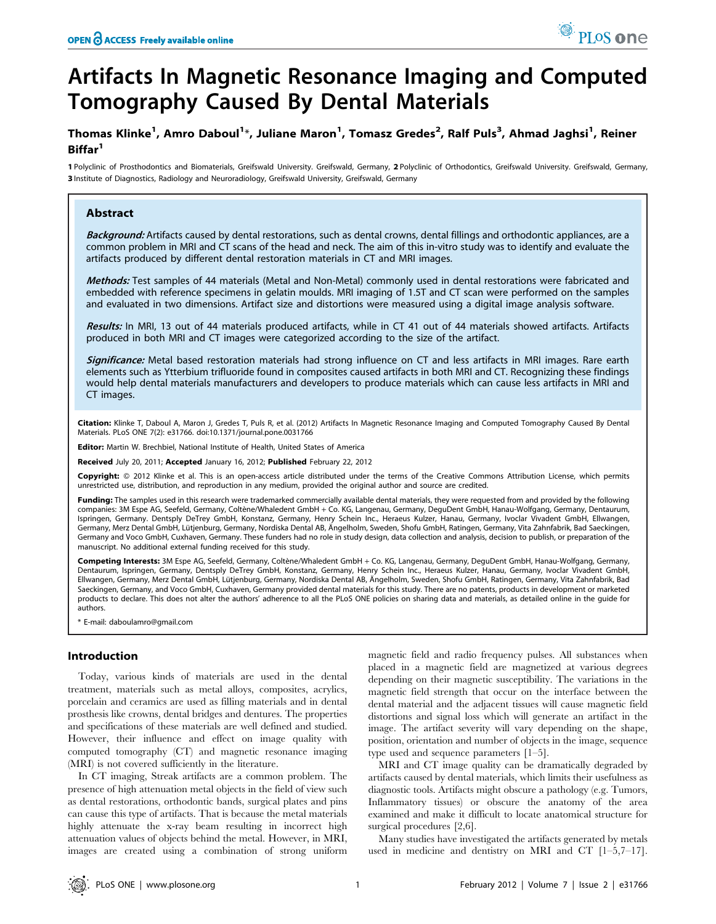# Artifacts In Magnetic Resonance Imaging and Computed Tomography Caused By Dental Materials

# Thomas Klinke<sup>1</sup>, Amro Daboul<sup>1</sup>\*, Juliane Maron<sup>1</sup>, Tomasz Gredes<sup>2</sup>, Ralf Puls<sup>3</sup>, Ahmad Jaghsi<sup>1</sup>, Reiner  $R$ iffar $<sup>1</sup>$ </sup>

1 Polyclinic of Prosthodontics and Biomaterials, Greifswald University. Greifswald, Germany, 2 Polyclinic of Orthodontics, Greifswald University. Greifswald, Germany, 3 Institute of Diagnostics, Radiology and Neuroradiology, Greifswald University, Greifswald, Germany

## Abstract

Background: Artifacts caused by dental restorations, such as dental crowns, dental fillings and orthodontic appliances, are a common problem in MRI and CT scans of the head and neck. The aim of this in-vitro study was to identify and evaluate the artifacts produced by different dental restoration materials in CT and MRI images.

Methods: Test samples of 44 materials (Metal and Non-Metal) commonly used in dental restorations were fabricated and embedded with reference specimens in gelatin moulds. MRI imaging of 1.5T and CT scan were performed on the samples and evaluated in two dimensions. Artifact size and distortions were measured using a digital image analysis software.

Results: In MRI, 13 out of 44 materials produced artifacts, while in CT 41 out of 44 materials showed artifacts. Artifacts produced in both MRI and CT images were categorized according to the size of the artifact.

Significance: Metal based restoration materials had strong influence on CT and less artifacts in MRI images. Rare earth elements such as Ytterbium trifluoride found in composites caused artifacts in both MRI and CT. Recognizing these findings would help dental materials manufacturers and developers to produce materials which can cause less artifacts in MRI and CT images.

Citation: Klinke T, Daboul A, Maron J, Gredes T, Puls R, et al. (2012) Artifacts In Magnetic Resonance Imaging and Computed Tomography Caused By Dental Materials. PLoS ONE 7(2): e31766. doi:10.1371/journal.pone.0031766

**Editor:** Martin W. Brechbiel, National Institute of Health, United States of America

Received July 20, 2011; Accepted January 16, 2012; Published February 22, 2012

Copyright: @ 2012 Klinke et al. This is an open-access article distributed under the terms of the Creative Commons Attribution License, which permits unrestricted use, distribution, and reproduction in any medium, provided the original author and source are credited.

Funding: The samples used in this research were trademarked commercially available dental materials, they were requested from and provided by the following companies: 3M Espe AG, Seefeld, Germany, Coltène/Whaledent GmbH + Co. KG, Langenau, Germany, DeguDent GmbH, Hanau-Wolfgang, Germany, Dentaurum, Ispringen, Germany. Dentsply DeTrey GmbH, Konstanz, Germany, Henry Schein Inc., Heraeus Kulzer, Hanau, Germany, Ivoclar Vivadent GmbH, Ellwangen, Germany, Merz Dental GmbH, Lütjenburg, Germany, Nordiska Dental AB, Ängelholm, Sweden, Shofu GmbH, Ratingen, Germany, Vita Zahnfabrik, Bad Saeckingen, Germany and Voco GmbH, Cuxhaven, Germany. These funders had no role in study design, data collection and analysis, decision to publish, or preparation of the manuscript. No additional external funding received for this study.

Competing Interests: 3M Espe AG, Seefeld, Germany, Coltène/Whaledent GmbH + Co. KG, Langenau, Germany, DeguDent GmbH, Hanau-Wolfgang, Germany, Dentaurum, Ispringen, Germany, Dentsply DeTrey GmbH, Konstanz, Germany, Henry Schein Inc., Heraeus Kulzer, Hanau, Germany, Ivoclar Vivadent GmbH, Ellwangen, Germany, Merz Dental GmbH, Lu¨tjenburg, Germany, Nordiska Dental AB, A¨ ngelholm, Sweden, Shofu GmbH, Ratingen, Germany, Vita Zahnfabrik, Bad Saeckingen, Germany, and Voco GmbH, Cuxhaven, Germany provided dental materials for this study. There are no patents, products in development or marketed products to declare. This does not alter the authors' adherence to all the PLoS ONE policies on sharing data and materials, as detailed online in the guide for authors.

\* E-mail: daboulamro@gmail.com

## Introduction

Today, various kinds of materials are used in the dental treatment, materials such as metal alloys, composites, acrylics, porcelain and ceramics are used as filling materials and in dental prosthesis like crowns, dental bridges and dentures. The properties and specifications of these materials are well defined and studied. However, their influence and effect on image quality with computed tomography (CT) and magnetic resonance imaging (MRI) is not covered sufficiently in the literature.

In CT imaging, Streak artifacts are a common problem. The presence of high attenuation metal objects in the field of view such as dental restorations, orthodontic bands, surgical plates and pins can cause this type of artifacts. That is because the metal materials highly attenuate the x-ray beam resulting in incorrect high attenuation values of objects behind the metal. However, in MRI, images are created using a combination of strong uniform

magnetic field and radio frequency pulses. All substances when placed in a magnetic field are magnetized at various degrees depending on their magnetic susceptibility. The variations in the magnetic field strength that occur on the interface between the dental material and the adjacent tissues will cause magnetic field distortions and signal loss which will generate an artifact in the image. The artifact severity will vary depending on the shape, position, orientation and number of objects in the image, sequence type used and sequence parameters [1–5].

MRI and CT image quality can be dramatically degraded by artifacts caused by dental materials, which limits their usefulness as diagnostic tools. Artifacts might obscure a pathology (e.g. Tumors, Inflammatory tissues) or obscure the anatomy of the area examined and make it difficult to locate anatomical structure for surgical procedures [2,6].

Many studies have investigated the artifacts generated by metals used in medicine and dentistry on MRI and CT [1–5,7–17].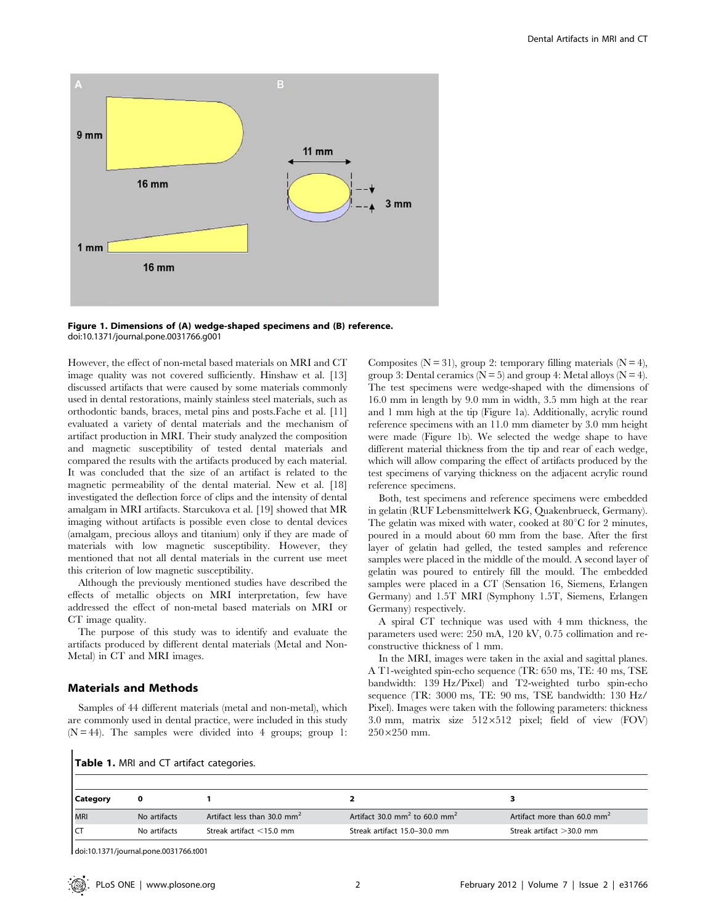

Figure 1. Dimensions of (A) wedge-shaped specimens and (B) reference. doi:10.1371/journal.pone.0031766.g001

However, the effect of non-metal based materials on MRI and CT image quality was not covered sufficiently. Hinshaw et al. [13] discussed artifacts that were caused by some materials commonly used in dental restorations, mainly stainless steel materials, such as orthodontic bands, braces, metal pins and posts.Fache et al. [11] evaluated a variety of dental materials and the mechanism of artifact production in MRI. Their study analyzed the composition and magnetic susceptibility of tested dental materials and compared the results with the artifacts produced by each material. It was concluded that the size of an artifact is related to the magnetic permeability of the dental material. New et al. [18] investigated the deflection force of clips and the intensity of dental amalgam in MRI artifacts. Starcukova et al. [19] showed that MR imaging without artifacts is possible even close to dental devices (amalgam, precious alloys and titanium) only if they are made of materials with low magnetic susceptibility. However, they mentioned that not all dental materials in the current use meet this criterion of low magnetic susceptibility.

Although the previously mentioned studies have described the effects of metallic objects on MRI interpretation, few have addressed the effect of non-metal based materials on MRI or CT image quality.

The purpose of this study was to identify and evaluate the artifacts produced by different dental materials (Metal and Non-Metal) in CT and MRI images.

## Materials and Methods

Samples of 44 different materials (metal and non-metal), which are commonly used in dental practice, were included in this study  $(N = 44)$ . The samples were divided into 4 groups; group 1:

Composites ( $N = 31$ ), group 2: temporary filling materials ( $N = 4$ ), group 3: Dental ceramics ( $N = 5$ ) and group 4: Metal alloys ( $N = 4$ ). The test specimens were wedge-shaped with the dimensions of 16.0 mm in length by 9.0 mm in width, 3.5 mm high at the rear and 1 mm high at the tip (Figure 1a). Additionally, acrylic round reference specimens with an 11.0 mm diameter by 3.0 mm height were made (Figure 1b). We selected the wedge shape to have different material thickness from the tip and rear of each wedge, which will allow comparing the effect of artifacts produced by the test specimens of varying thickness on the adjacent acrylic round reference specimens.

Both, test specimens and reference specimens were embedded in gelatin (RUF Lebensmittelwerk KG, Quakenbrueck, Germany). The gelatin was mixed with water, cooked at  $80^{\circ}$ C for 2 minutes, poured in a mould about 60 mm from the base. After the first layer of gelatin had gelled, the tested samples and reference samples were placed in the middle of the mould. A second layer of gelatin was poured to entirely fill the mould. The embedded samples were placed in a CT (Sensation 16, Siemens, Erlangen Germany) and 1.5T MRI (Symphony 1.5T, Siemens, Erlangen Germany) respectively.

A spiral CT technique was used with 4 mm thickness, the parameters used were: 250 mA, 120 kV, 0.75 collimation and reconstructive thickness of 1 mm.

In the MRI, images were taken in the axial and sagittal planes. A T1-weighted spin-echo sequence (TR: 650 ms, TE: 40 ms, TSE bandwidth: 139 Hz/Pixel) and T2-weighted turbo spin-echo sequence (TR: 3000 ms, TE: 90 ms, TSE bandwidth: 130 Hz/ Pixel). Images were taken with the following parameters: thickness 3.0 mm, matrix size  $512\times512$  pixel; field of view (FOV)  $250\times250$  mm.

|  |  |  |  |  |  | Table 1. MRI and CT artifact categories. |
|--|--|--|--|--|--|------------------------------------------|
|--|--|--|--|--|--|------------------------------------------|

| Category   |              |                                         |                                                       |                                         |
|------------|--------------|-----------------------------------------|-------------------------------------------------------|-----------------------------------------|
| <b>MRI</b> | No artifacts | Artifact less than 30.0 mm <sup>2</sup> | Artifact 30.0 mm <sup>2</sup> to 60.0 mm <sup>2</sup> | Artifact more than 60.0 mm <sup>2</sup> |
| I C'       | No artifacts | Streak artifact $<$ 15.0 mm             | Streak artifact 15.0-30.0 mm                          | Streak artifact $>$ 30.0 mm             |

doi:10.1371/journal.pone.0031766.t001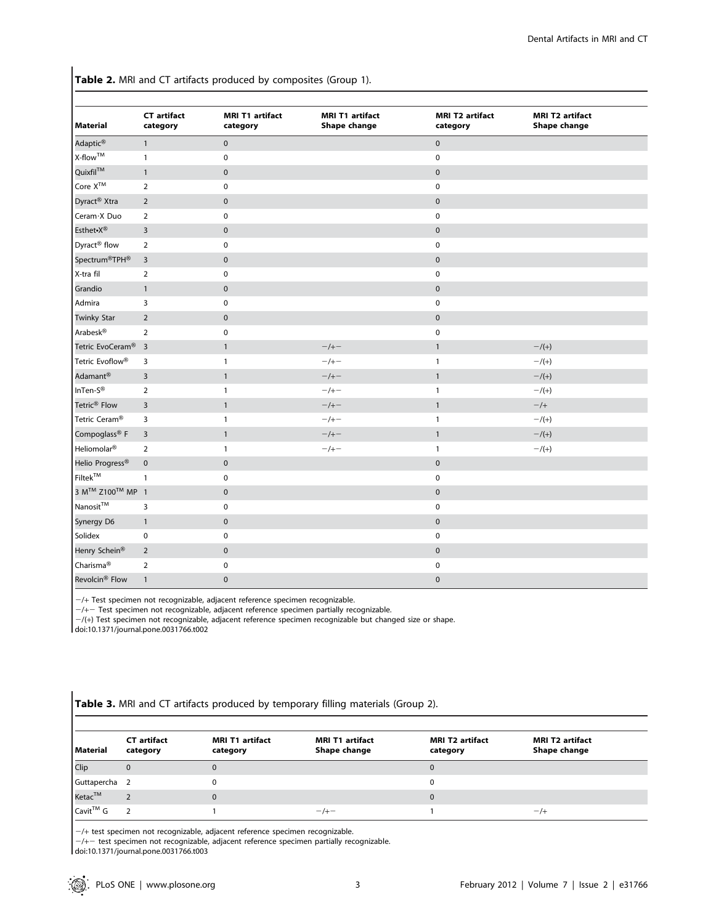Table 2. MRI and CT artifacts produced by composites (Group 1).

| <b>Material</b>                                 | <b>CT</b> artifact<br>category | <b>MRI T1 artifact</b><br>category | <b>MRI T1 artifact</b><br>Shape change | <b>MRI T2 artifact</b><br>category | <b>MRI T2 artifact</b><br>Shape change |
|-------------------------------------------------|--------------------------------|------------------------------------|----------------------------------------|------------------------------------|----------------------------------------|
| Adaptic <sup>®</sup>                            | $\mathbf{1}$                   | $\mathbf 0$                        |                                        | $\pmb{0}$                          |                                        |
| $\mathsf{X}\text{-}\mathsf{flow}^{\mathsf{TM}}$ | $\mathbf{1}$                   | $\pmb{0}$                          |                                        | 0                                  |                                        |
| Quixfil™                                        | $\mathbf{1}$                   | $\pmb{0}$                          |                                        | $\pmb{0}$                          |                                        |
| Core $X^{TM}$                                   | $\overline{2}$                 | $\pmb{0}$                          |                                        | 0                                  |                                        |
| Dyract <sup>®</sup> Xtra                        | $\overline{2}$                 | $\pmb{0}$                          |                                        | $\pmb{0}$                          |                                        |
| Ceram X Duo                                     | $\overline{2}$                 | $\pmb{0}$                          |                                        | $\pmb{0}$                          |                                        |
| Esthet•X <sup>®</sup>                           | $\overline{3}$                 | $\pmb{0}$                          |                                        | $\pmb{0}$                          |                                        |
| Dyract <sup>®</sup> flow                        | $\overline{2}$                 | $\pmb{0}$                          |                                        | $\pmb{0}$                          |                                        |
| Spectrum <sup>®</sup> TPH <sup>®</sup>          | $\overline{3}$                 | $\pmb{0}$                          |                                        | $\pmb{0}$                          |                                        |
| X-tra fil                                       | $\overline{2}$                 | $\pmb{0}$                          |                                        | 0                                  |                                        |
| Grandio                                         | $\mathbf{1}$                   | $\pmb{0}$                          |                                        | $\pmb{0}$                          |                                        |
| Admira                                          | 3                              | $\pmb{0}$                          |                                        | $\pmb{0}$                          |                                        |
| Twinky Star                                     | $\overline{2}$                 | $\pmb{0}$                          |                                        | $\pmb{0}$                          |                                        |
| Arabesk®                                        | $\overline{2}$                 | $\pmb{0}$                          |                                        | $\pmb{0}$                          |                                        |
| Tetric EvoCeram <sup>®</sup>                    | $\overline{\mathbf{3}}$        | $\mathbf{1}$                       | $-$ /+ $-$                             | $\mathbf{1}$                       | $-/(+)$                                |
| Tetric Evoflow <sup>®</sup>                     | 3                              | $\mathbf{1}$                       | $-$ /+ $-$                             | $\mathbf{1}$                       | $-/(+)$                                |
| Adamant <sup>®</sup>                            | $\overline{3}$                 | $\mathbf{1}$                       | $-/-$                                  | $\mathbf{1}$                       | $-/(+)$                                |
| InTen-S®                                        | $\overline{2}$                 | $\mathbf{1}$                       | $-/-$                                  | $\mathbf{1}$                       | $-/(+)$                                |
| Tetric® Flow                                    | $\overline{3}$                 | $\mathbf{1}$                       | $-/-$                                  | $\mathbf{1}$                       | $-\big/ +$                             |
| Tetric Ceram <sup>®</sup>                       | 3                              | $\mathbf{1}$                       | $-$ /+ $-$                             | $\mathbf{1}$                       | $-/(+)$                                |
| Compoglass® F                                   | $\overline{3}$                 | $\mathbf{1}$                       | $-/-$                                  | $\mathbf{1}$                       | $-/(+)$                                |
| Heliomolar <sup>®</sup>                         | $\overline{2}$                 | $\mathbf{1}$                       | $-$ /+ $-$                             | $\mathbf{1}$                       | $-/(+)$                                |
| Helio Progress®                                 | $\pmb{0}$                      | $\pmb{0}$                          |                                        | $\pmb{0}$                          |                                        |
| $Filtek^{TM}$                                   | $\mathbf{1}$                   | $\pmb{0}$                          |                                        | $\pmb{0}$                          |                                        |
| 3 M™ Z100™ MP 1                                 |                                | $\pmb{0}$                          |                                        | $\pmb{0}$                          |                                        |
| $\mathsf{Nanosit}^{\mathsf{TM}}$                | 3                              | $\pmb{0}$                          |                                        | $\pmb{0}$                          |                                        |
| Synergy D6                                      | $\mathbf{1}$                   | $\pmb{0}$                          |                                        | $\pmb{0}$                          |                                        |
| Solidex                                         | $\mathbf 0$                    | $\pmb{0}$                          |                                        | 0                                  |                                        |
| Henry Schein®                                   | $\overline{2}$                 | $\pmb{0}$                          |                                        | $\pmb{0}$                          |                                        |
| Charisma <sup>®</sup>                           | $\mathbf 2$                    | $\pmb{0}$                          |                                        | $\pmb{0}$                          |                                        |
| Revolcin® Flow                                  | $\mathbf{1}$                   | $\mathbf 0$                        |                                        | $\pmb{0}$                          |                                        |

 $-$ /+ Test specimen not recognizable, adjacent reference specimen recognizable.

 $-$ /+ $-$  Test specimen not recognizable, adjacent reference specimen partially recognizable.

 $-$ /(+) Test specimen not recognizable, adjacent reference specimen recognizable but changed size or shape.

doi:10.1371/journal.pone.0031766.t002

# Table 3. MRI and CT artifacts produced by temporary filling materials (Group 2).

| Material      | <b>CT</b> artifact<br>category | <b>MRI T1 artifact</b><br>category | <b>MRI T1 artifact</b><br>Shape change | <b>MRI T2 artifact</b><br>category | <b>MRI T2 artifact</b><br>Shape change |
|---------------|--------------------------------|------------------------------------|----------------------------------------|------------------------------------|----------------------------------------|
| Clip          |                                | 0                                  |                                        | 0                                  |                                        |
| Guttapercha 2 |                                |                                    |                                        | 0                                  |                                        |
| Ketac™        |                                | 0                                  |                                        | $\Omega$                           |                                        |
| Cavit™ G      |                                |                                    | $-/-$                                  |                                    | $-1$                                   |

 $-$ /+ test specimen not recognizable, adjacent reference specimen recognizable.

 $-$ /+ $-$  test specimen not recognizable, adjacent reference specimen partially recognizable.

doi:10.1371/journal.pone.0031766.t003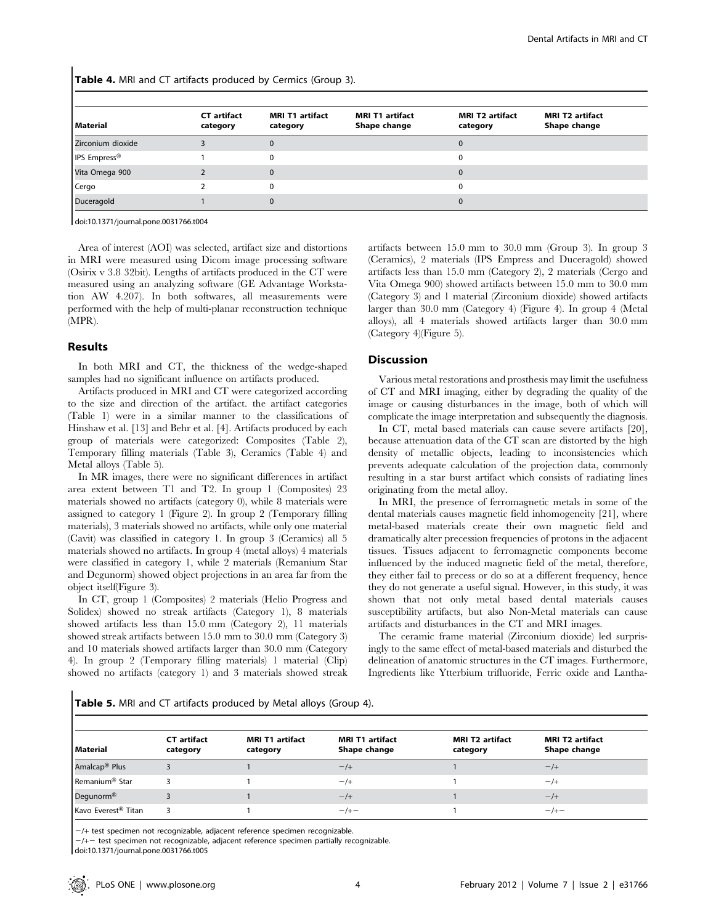Table 4. MRI and CT artifacts produced by Cermics (Group 3).

| Material          | <b>CT</b> artifact<br>category | <b>MRI T1 artifact</b><br>category | <b>MRI T1 artifact</b><br>Shape change | <b>MRI T2 artifact</b><br>category | <b>MRI T2 artifact</b><br>Shape change |
|-------------------|--------------------------------|------------------------------------|----------------------------------------|------------------------------------|----------------------------------------|
| Zirconium dioxide |                                |                                    |                                        | O                                  |                                        |
| IPS Empress®      |                                | 0                                  |                                        | 0                                  |                                        |
| Vita Omega 900    |                                | $\Omega$                           |                                        | $\mathbf 0$                        |                                        |
| Cergo             |                                |                                    |                                        | 0                                  |                                        |
| Duceragold        |                                | $\Omega$                           |                                        | 0                                  |                                        |

doi:10.1371/journal.pone.0031766.t004

Area of interest (AOI) was selected, artifact size and distortions in MRI were measured using Dicom image processing software (Osirix v 3.8 32bit). Lengths of artifacts produced in the CT were measured using an analyzing software (GE Advantage Workstation AW 4.207). In both softwares, all measurements were performed with the help of multi-planar reconstruction technique (MPR).

#### Results

In both MRI and CT, the thickness of the wedge-shaped samples had no significant influence on artifacts produced.

Artifacts produced in MRI and CT were categorized according to the size and direction of the artifact. the artifact categories (Table 1) were in a similar manner to the classifications of Hinshaw et al. [13] and Behr et al. [4]. Artifacts produced by each group of materials were categorized: Composites (Table 2), Temporary filling materials (Table 3), Ceramics (Table 4) and Metal alloys (Table 5).

In MR images, there were no significant differences in artifact area extent between T1 and T2. In group 1 (Composites) 23 materials showed no artifacts (category 0), while 8 materials were assigned to category 1 (Figure 2). In group 2 (Temporary filling materials), 3 materials showed no artifacts, while only one material (Cavit) was classified in category 1. In group 3 (Ceramics) all 5 materials showed no artifacts. In group 4 (metal alloys) 4 materials were classified in category 1, while 2 materials (Remanium Star and Degunorm) showed object projections in an area far from the object itself(Figure 3).

In CT, group 1 (Composites) 2 materials (Helio Progress and Solidex) showed no streak artifacts (Category 1), 8 materials showed artifacts less than 15.0 mm (Category 2), 11 materials showed streak artifacts between 15.0 mm to 30.0 mm (Category 3) and 10 materials showed artifacts larger than 30.0 mm (Category 4). In group 2 (Temporary filling materials) 1 material (Clip) showed no artifacts (category 1) and 3 materials showed streak artifacts between 15.0 mm to 30.0 mm (Group 3). In group 3 (Ceramics), 2 materials (IPS Empress and Duceragold) showed artifacts less than 15.0 mm (Category 2), 2 materials (Cergo and Vita Omega 900) showed artifacts between 15.0 mm to 30.0 mm (Category 3) and 1 material (Zirconium dioxide) showed artifacts larger than 30.0 mm (Category 4) (Figure 4). In group 4 (Metal alloys), all 4 materials showed artifacts larger than 30.0 mm (Category 4)(Figure 5).

### **Discussion**

Various metal restorations and prosthesis may limit the usefulness of CT and MRI imaging, either by degrading the quality of the image or causing disturbances in the image, both of which will complicate the image interpretation and subsequently the diagnosis.

In CT, metal based materials can cause severe artifacts [20], because attenuation data of the CT scan are distorted by the high density of metallic objects, leading to inconsistencies which prevents adequate calculation of the projection data, commonly resulting in a star burst artifact which consists of radiating lines originating from the metal alloy.

In MRI, the presence of ferromagnetic metals in some of the dental materials causes magnetic field inhomogeneity [21], where metal-based materials create their own magnetic field and dramatically alter precession frequencies of protons in the adjacent tissues. Tissues adjacent to ferromagnetic components become influenced by the induced magnetic field of the metal, therefore, they either fail to precess or do so at a different frequency, hence they do not generate a useful signal. However, in this study, it was shown that not only metal based dental materials causes susceptibility artifacts, but also Non-Metal materials can cause artifacts and disturbances in the CT and MRI images.

The ceramic frame material (Zirconium dioxide) led surprisingly to the same effect of metal-based materials and disturbed the delineation of anatomic structures in the CT images. Furthermore, Ingredients like Ytterbium trifluoride, Ferric oxide and Lantha-

Table 5. MRI and CT artifacts produced by Metal alloys (Group 4).

| Material                        | <b>CT</b> artifact<br>category | <b>MRI T1 artifact</b><br>category | <b>MRI T1 artifact</b><br>Shape change | <b>MRI T2 artifact</b><br>category | <b>MRI T2 artifact</b><br>Shape change |
|---------------------------------|--------------------------------|------------------------------------|----------------------------------------|------------------------------------|----------------------------------------|
| Amalcap <sup>®</sup> Plus       |                                |                                    | $-/-$                                  |                                    | $-$ /+                                 |
| Remanium <sup>®</sup> Star      |                                |                                    | $-/-$                                  |                                    | $-$ /+                                 |
| Degunorm <sup>®</sup>           |                                |                                    | $-/-$                                  |                                    | $-$ /+                                 |
| Kavo Everest <sup>®</sup> Titan |                                |                                    | $-/-$                                  |                                    | $-/-$                                  |

 $-$ /+ test specimen not recognizable, adjacent reference specimen recognizable.

 $-$ /+ $-$  test specimen not recognizable, adjacent reference specimen partially recognizable.

doi:10.1371/journal.pone.0031766.t005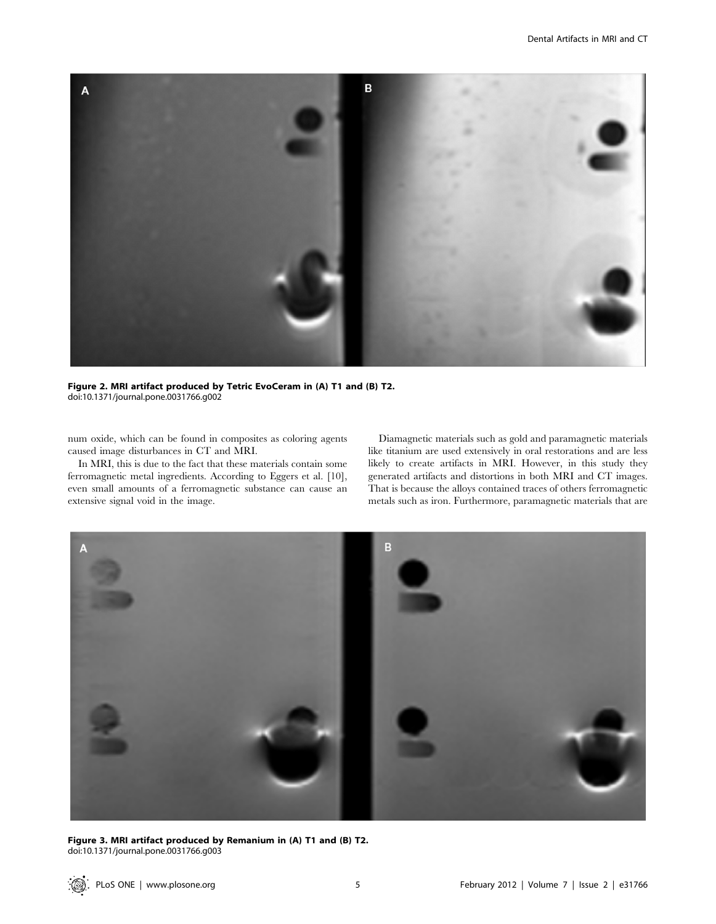

Figure 2. MRI artifact produced by Tetric EvoCeram in (A) T1 and (B) T2. doi:10.1371/journal.pone.0031766.g002

num oxide, which can be found in composites as coloring agents caused image disturbances in CT and MRI.

In MRI, this is due to the fact that these materials contain some ferromagnetic metal ingredients. According to Eggers et al. [10], even small amounts of a ferromagnetic substance can cause an extensive signal void in the image.

Diamagnetic materials such as gold and paramagnetic materials like titanium are used extensively in oral restorations and are less likely to create artifacts in MRI. However, in this study they generated artifacts and distortions in both MRI and CT images. That is because the alloys contained traces of others ferromagnetic metals such as iron. Furthermore, paramagnetic materials that are



Figure 3. MRI artifact produced by Remanium in (A) T1 and (B) T2. doi:10.1371/journal.pone.0031766.g003